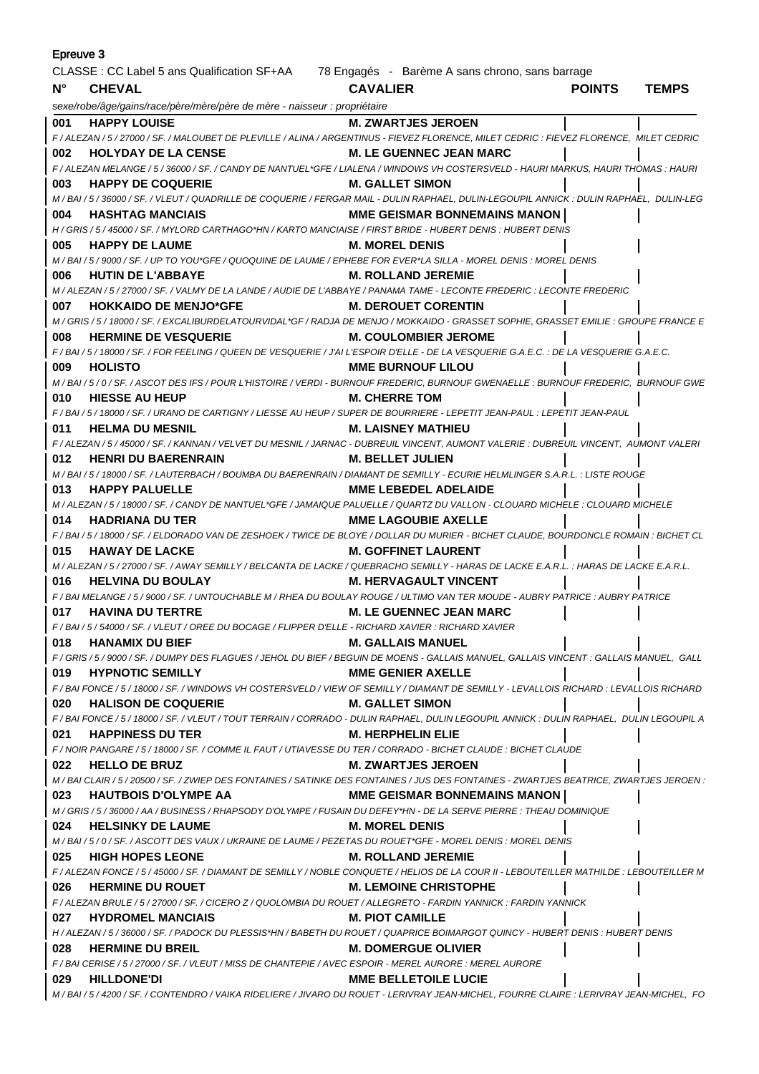| Epreuve 3                                                                                   |                                                                                                                                                                     |                                       |               |              |  |  |
|---------------------------------------------------------------------------------------------|---------------------------------------------------------------------------------------------------------------------------------------------------------------------|---------------------------------------|---------------|--------------|--|--|
| CLASSE : CC Label 5 ans Qualification SF+AA 78 Engagés - Barème A sans chrono, sans barrage |                                                                                                                                                                     |                                       |               |              |  |  |
| $N^{\circ}$                                                                                 | <b>CHEVAL</b>                                                                                                                                                       | <b>CAVALIER</b>                       | <b>POINTS</b> | <b>TEMPS</b> |  |  |
|                                                                                             | sexe/robe/âge/gains/race/père/mère/père de mère - naisseur : propriétaire                                                                                           |                                       |               |              |  |  |
| 001                                                                                         | <b>HAPPY LOUISE</b>                                                                                                                                                 | <b>M. ZWARTJES JEROEN</b>             |               |              |  |  |
|                                                                                             | F / ALEZAN / 5 / 27000 / SF. / MALOUBET DE PLEVILLE / ALINA / ARGENTINUS - FIEVEZ FLORENCE. MILET CEDRIC : FIEVEZ FLORENCE. MILET CEDRIC                            |                                       |               |              |  |  |
| 002                                                                                         | <b>HOLYDAY DE LA CENSE</b>                                                                                                                                          | <b>M. LE GUENNEC JEAN MARC</b>        |               |              |  |  |
|                                                                                             | F / ALEZAN MELANGE / 5 / 36000 / SF. / CANDY DE NANTUEL*GFE / LIALENA / WINDOWS VH COSTERSVELD - HAURI MARKUS, HAURI THOMAS : HAURI                                 |                                       |               |              |  |  |
| 003                                                                                         | <b>HAPPY DE COQUERIE</b>                                                                                                                                            | M. GALLET SIMON                       |               |              |  |  |
|                                                                                             | M / BAI / 5 / 36000 / SF. / VLEUT / QUADRILLE DE COQUERIE / FERGAR MAIL - DULIN RAPHAEL, DULIN-LEGOUPIL ANNICK : DULIN RAPHAEL, DULIN-LEG                           |                                       |               |              |  |  |
| 004                                                                                         | <b>HASHTAG MANCIAIS</b>                                                                                                                                             | <b>MME GEISMAR BONNEMAINS MANON  </b> |               |              |  |  |
|                                                                                             | H / GRIS / 5 / 45000 / SF. / MYLORD CARTHAGO*HN / KARTO MANCIAISE / FIRST BRIDE - HUBERT DENIS : HUBERT DENIS                                                       |                                       |               |              |  |  |
| 005                                                                                         | <b>HAPPY DE LAUME</b>                                                                                                                                               | <b>M. MOREL DENIS</b>                 |               |              |  |  |
|                                                                                             | M / BAI / 5 / 9000 / SF. / UP TO YOU*GFE / QUOQUINE DE LAUME / EPHEBE FOR EVER*LA SILLA - MOREL DENIS : MOREL DENIS                                                 |                                       |               |              |  |  |
| 006                                                                                         | <b>HUTIN DE L'ABBAYE</b>                                                                                                                                            | <b>M. ROLLAND JEREMIE</b>             |               |              |  |  |
|                                                                                             | M / ALEZAN / 5 / 27000 / SF. / VALMY DE LA LANDE / AUDIE DE L'ABBAYE / PANAMA TAME - LECONTE FREDERIC : LECONTE FREDERIC                                            |                                       |               |              |  |  |
| 007                                                                                         | <b>HOKKAIDO DE MENJO*GFE</b>                                                                                                                                        | <b>M. DEROUET CORENTIN</b>            |               |              |  |  |
|                                                                                             | M / GRIS / 5 / 18000 / SF. / EXCALIBURDELATOURVIDAL*GF / RADJA DE MENJO / MOKKAIDO - GRASSET SOPHIE, GRASSET EMILIE : GROUPE FRANCE E                               |                                       |               |              |  |  |
| 008                                                                                         | <b>HERMINE DE VESQUERIE</b>                                                                                                                                         | <b>M. COULOMBIER JEROME</b>           |               |              |  |  |
|                                                                                             | F / BAI / 5 / 18000 / SF. / FOR FEELING / QUEEN DE VESQUERIE / J'AI L'ESPOIR D'ELLE - DE LA VESQUERIE G.A.E.C.                                                      |                                       |               |              |  |  |
| 009                                                                                         | <b>HOLISTO</b>                                                                                                                                                      | <b>MME BURNOUF LILOU</b>              |               |              |  |  |
|                                                                                             | M / BAI / 5 / 0 / SF. / ASCOT DES IFS / POUR L'HISTOIRE / VERDI - BURNOUF FREDERIC, BURNOUF GWENAELLE : BURNOUF FREDERIC, BURNOUF GWE                               |                                       |               |              |  |  |
| 010                                                                                         | <b>HIESSE AU HEUP</b>                                                                                                                                               | <b>M. CHERRE TOM</b>                  |               |              |  |  |
|                                                                                             | F / BAI / 5 / 18000 / SF. / URANO DE CARTIGNY / LIESSE AU HEUP / SUPER DE BOURRIERE - LEPETIT JEAN-PAUL : LEPETIT JEAN-PAUL                                         |                                       |               |              |  |  |
| 011                                                                                         | <b>HELMA DU MESNIL</b>                                                                                                                                              | <b>M. LAISNEY MATHIEU</b>             |               |              |  |  |
|                                                                                             | F / ALEZAN / 5 / 45000 / SF. / KANNAN / VELVET DU MESNIL / JARNAC - DUBREUIL VINCENT, AUMONT VALERIE : DUBREUIL VINCENT, AUMONT VALERI                              |                                       |               |              |  |  |
| 012                                                                                         | <b>HENRI DU BAERENRAIN</b>                                                                                                                                          | M. BELLET JULIEN                      |               |              |  |  |
|                                                                                             | M / BAI / 5 / 18000 / SF. / LAUTERBACH / BOUMBA DU BAERENRAIN / DIAMANT DE SEMILLY - ECURIE HELMLINGER S.A.R.L. : LISTE ROUGE                                       |                                       |               |              |  |  |
| 013                                                                                         | <b>HAPPY PALUELLE</b>                                                                                                                                               | <b>MME LEBEDEL ADELAIDE</b>           |               |              |  |  |
|                                                                                             | M / ALEZAN / 5 / 18000 / SF. / CANDY DE NANTUEL*GFE / JAMAIQUE PALUELLE / QUARTZ DU VALLON - CLOUARD MICHELE : CLOUARD MICHELE                                      |                                       |               |              |  |  |
| 014                                                                                         | <b>HADRIANA DU TER</b>                                                                                                                                              | <b>MME LAGOUBIE AXELLE</b>            |               |              |  |  |
|                                                                                             | F/BAI/5/18000/SF./ELDORADO VAN DE ZESHOEK/TWICE DE BLOYE/DOLLAR DU MURIER - BICHET CLAUDE, BOURDONCLE ROMAIN: BICHET CL                                             | <b>M. GOFFINET LAURENT</b>            |               |              |  |  |
| 015                                                                                         | <b>HAWAY DE LACKE</b>                                                                                                                                               |                                       |               |              |  |  |
| 016                                                                                         | M / ALEZAN / 5 / 27000 / SF. / AWAY SEMILLY / BELCANTA DE LACKE / QUEBRACHO SEMILLY - HARAS DE LACKE E.A.R.L. : HARAS DE LACKE E.A.R.L.<br><b>HELVINA DU BOULAY</b> | <b>M. HERVAGAULT VINCENT</b>          |               |              |  |  |
|                                                                                             | F / BAI MELANGE / 5 / 9000 / SF. / UNTOUCHABLE M / RHEA DU BOULAY ROUGE / ULTIMO VAN TER MOUDE - AUBRY PATRICE : AUBRY PATRICE                                      |                                       |               |              |  |  |
| 017                                                                                         | <b>HAVINA DU TERTRE</b>                                                                                                                                             | <b>M. LE GUENNEC JEAN MARC</b>        |               |              |  |  |
|                                                                                             | F / BAI / 5 / 54000 / SF. / VLEUT / OREE DU BOCAGE / FLIPPER D'ELLE - RICHARD XAVIER : RICHARD XAVIER                                                               |                                       |               |              |  |  |
| 018                                                                                         | <b>HANAMIX DU BIEF</b>                                                                                                                                              | <b>M. GALLAIS MANUEL</b>              |               |              |  |  |
|                                                                                             | F / GRIS / 5 / 9000 / SF. / DUMPY DES FLAGUES / JEHOL DU BIEF / BEGUIN DE MOENS - GALLAIS MANUEL, GALLAIS VINCENT : GALLAIS MANUEL, GALL                            |                                       |               |              |  |  |
| 019                                                                                         | <b>HYPNOTIC SEMILLY</b>                                                                                                                                             | <b>MME GENIER AXELLE</b>              |               |              |  |  |
|                                                                                             | F / BAI FONCE / 5 / 18000 / SF. / WINDOWS VH COSTERSVELD / VIEW OF SEMILLY / DIAMANT DE SEMILLY - LEVALLOIS RICHARD : LEVALLOIS RICHARD                             |                                       |               |              |  |  |
| 020                                                                                         | <b>HALISON DE COQUERIE</b>                                                                                                                                          | <b>M. GALLET SIMON</b>                |               |              |  |  |
|                                                                                             | F / BAI FONCE / 5 / 18000 / SF. / VLEUT / TOUT TERRAIN / CORRADO - DULIN RAPHAEL, DULIN LEGOUPIL ANNICK : DULIN RAPHAEL, DULIN LEGOUPIL A                           |                                       |               |              |  |  |
| 021                                                                                         | <b>HAPPINESS DU TER</b>                                                                                                                                             | <b>M. HERPHELIN ELIE</b>              |               |              |  |  |
|                                                                                             | F / NOIR PANGARE / 5 / 18000 / SF. / COMME IL FAUT / UTIAVESSE DU TER / CORRADO - BICHET CLAUDE : BICHET CLAUDE                                                     |                                       |               |              |  |  |
| 022                                                                                         | <b>HELLO DE BRUZ</b>                                                                                                                                                | <b>M. ZWARTJES JEROEN</b>             |               |              |  |  |
|                                                                                             | M / BAI CLAIR / 5 / 20500 / SF. / ZWIEP DES FONTAINES / SATINKE DES FONTAINES / JUS DES FONTAINES - ZWARTJES BEATRICE, ZWARTJES JEROEN :                            |                                       |               |              |  |  |
| 023                                                                                         | HAUTBOIS D'OLYMPE AA                                                                                                                                                | <b>MME GEISMAR BONNEMAINS MANON  </b> |               |              |  |  |
|                                                                                             | M / GRIS / 5 / 36000 / AA / BUSINESS / RHAPSODY D'OLYMPE / FUSAIN DU DEFEY*HN - DE LA SERVE PIERRE : THEAU DOMINIQUE                                                |                                       |               |              |  |  |
| 024                                                                                         | <b>HELSINKY DE LAUME</b>                                                                                                                                            | <b>M. MOREL DENIS</b>                 |               |              |  |  |
|                                                                                             | M/BAI/5/0/SF./ASCOTT DES VAUX/UKRAINE DE LAUME/PEZETAS DU ROUET*GFE - MOREL DENIS : MOREL DENIS                                                                     |                                       |               |              |  |  |
| 025                                                                                         | <b>HIGH HOPES LEONE</b>                                                                                                                                             | <b>M. ROLLAND JEREMIE</b>             |               |              |  |  |
|                                                                                             | F / ALEZAN FONCE / 5 / 45000 / SF. / DIAMANT DE SEMILLY / NOBLE CONQUETE / HELIOS DE LA COUR II - LEBOUTEILLER MATHILDE : LEBOUTEILLER M                            |                                       |               |              |  |  |
| 026                                                                                         | <b>HERMINE DU ROUET</b>                                                                                                                                             | <b>M. LEMOINE CHRISTOPHE</b>          |               |              |  |  |
|                                                                                             | F / ALEZAN BRULE / 5 / 27000 / SF. / CICERO Z / QUOLOMBIA DU ROUET / ALLEGRETO - FARDIN YANNICK : FARDIN YANNICK                                                    |                                       |               |              |  |  |
| 027                                                                                         | <b>HYDROMEL MANCIAIS</b>                                                                                                                                            | <b>M. PIOT CAMILLE</b>                |               |              |  |  |
|                                                                                             | H / ALEZAN / 5 / 36000 / SF. / PADOCK DU PLESSIS*HN / BABETH DU ROUET / QUAPRICE BOIMARGOT QUINCY - HUBERT DENIS : HUBERT DENIS                                     |                                       |               |              |  |  |
| 028                                                                                         | <b>HERMINE DU BREIL</b>                                                                                                                                             | <b>M. DOMERGUE OLIVIER</b>            |               |              |  |  |
|                                                                                             | F / BAI CERISE / 5 / 27000 / SF. / VLEUT / MISS DE CHANTEPIE / AVEC ESPOIR - MEREL AURORE : MEREL AURORE                                                            |                                       |               |              |  |  |
| 029                                                                                         | <b>HILLDONE'DI</b>                                                                                                                                                  | <b>MME BELLETOILE LUCIE</b>           |               |              |  |  |
|                                                                                             | M / BAI / 5 / 4200 / SF. / CONTENDRO / VAIKA RIDELIERE / JIVARO DU ROUET - LERIVRAY JEAN-MICHEL, FOURRE CLAIRE : LERIVRAY JEAN-MICHEL, FO                           |                                       |               |              |  |  |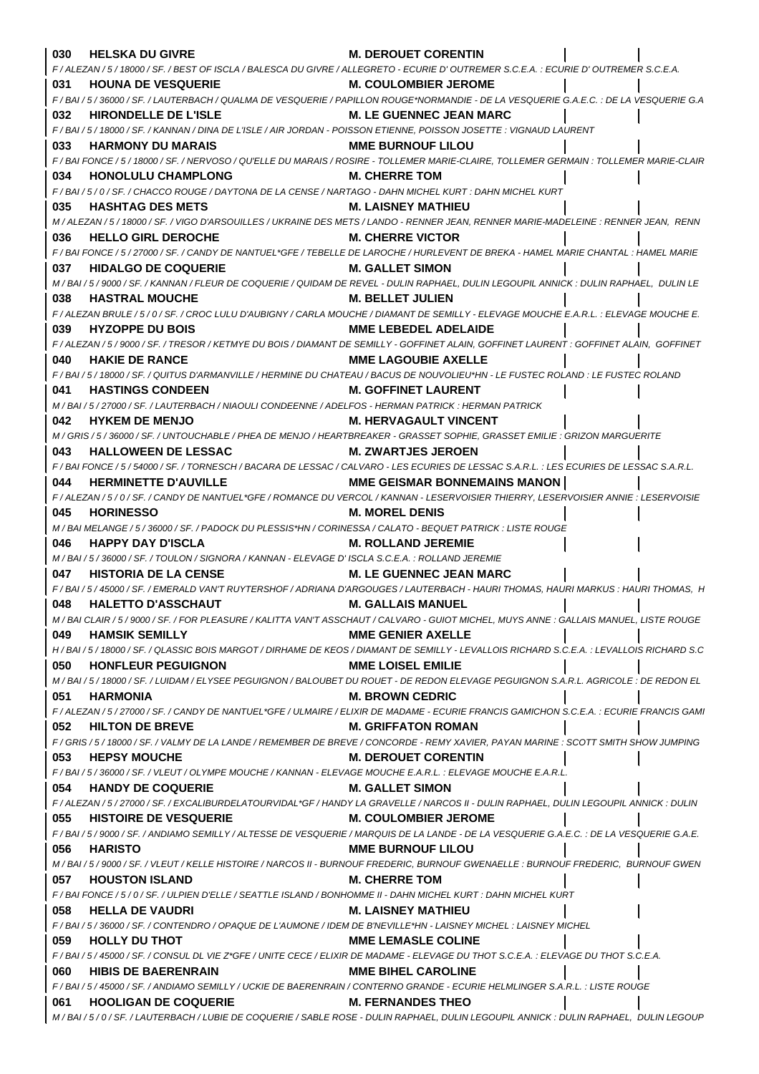| 030 | <b>HELSKA DU GIVRE</b>                                                                                                | <b>M. DEROUET CORENTIN</b>                                                                                                                                               |
|-----|-----------------------------------------------------------------------------------------------------------------------|--------------------------------------------------------------------------------------------------------------------------------------------------------------------------|
|     |                                                                                                                       | F / ALEZAN / 5 / 18000 / SF. / BEST OF ISCLA / BALESCA DU GIVRE / ALLEGRETO - ECURIE D'OUTREMER S.C.E.A. : ECURIE D'OUTREMER S.C.E.A.                                    |
| 031 | <b>HOUNA DE VESQUERIE</b>                                                                                             | <b>M. COULOMBIER JEROME</b>                                                                                                                                              |
|     |                                                                                                                       | F / BAI / 5 / 36000 / SF. / LAUTERBACH / QUALMA DE VESQUERIE / PAPILLON ROUGE*NORMANDIE - DE LA VESQUERIE G.A.E.C. : DE LA VESQUERIE G.A.                                |
| 032 | HIRONDELLE DE L'ISLE                                                                                                  | <b>M. LE GUENNEC JEAN MARC</b>                                                                                                                                           |
|     | F / BAI / 5 / 18000 / SF. / KANNAN / DINA DE L'ISLE / AIR JORDAN - POISSON ETIENNE, POISSON JOSETTE : VIGNAUD LAURENT |                                                                                                                                                                          |
| 033 | <b>HARMONY DU MARAIS</b>                                                                                              | <b>MME BURNOUF LILOU</b>                                                                                                                                                 |
|     |                                                                                                                       | F / BAI FONCE / 5 / 18000 / SF. / NERVOSO / QU'ELLE DU MARAIS / ROSIRE - TOLLEMER MARIE-CLAIRE, TOLLEMER GERMAIN : TOLLEMER MARIE-CLAIR                                  |
| 034 | <b>HONOLULU CHAMPLONG</b>                                                                                             | <b>M. CHERRE TOM</b>                                                                                                                                                     |
|     | F/BAI/5/0/SF./CHACCO ROUGE/DAYTONA DE LA CENSE/NARTAGO - DAHN MICHEL KURT : DAHN MICHEL KURT                          |                                                                                                                                                                          |
| 035 | <b>HASHTAG DES METS</b>                                                                                               | <b>M. LAISNEY MATHIEU</b>                                                                                                                                                |
|     |                                                                                                                       | M / ALEZAN / 5 / 18000 / SF. / VIGO D'ARSOUILLES / UKRAINE DES METS / LANDO - RENNER JEAN, RENNER MARIE-MADELEINE : RENNER JEAN, RENN                                    |
| 036 | <b>HELLO GIRL DEROCHE</b>                                                                                             | <b>M. CHERRE VICTOR</b>                                                                                                                                                  |
|     |                                                                                                                       | F / BAI FONCE / 5 / 27000 / SF. / CANDY DE NANTUEL*GFE / TEBELLE DE LAROCHE / HURLEVENT DE BREKA - HAMEL MARIE CHANTAL : HAMEL MARIE                                     |
| 037 | <b>HIDALGO DE COQUERIE</b>                                                                                            | M. GALLET SIMON                                                                                                                                                          |
|     |                                                                                                                       | M / BAI / 5 / 9000 / SF. / KANNAN / FLEUR DE COQUERIE / QUIDAM DE REVEL - DULIN RAPHAEL, DULIN LEGOUPIL ANNICK : DULIN RAPHAEL, DULIN LE                                 |
| 038 | <b>HASTRAL MOUCHE</b>                                                                                                 | M. BELLET JULIEN                                                                                                                                                         |
|     |                                                                                                                       | F / ALEZAN BRULE / 5 / 0 / SF. / CROC LULU D'AUBIGNY / CARLA MOUCHE / DIAMANT DE SEMILLY - ELEVAGE MOUCHE E.A.R.L. : ELEVAGE MOUCHE E.                                   |
| 039 | <b>HYZOPPE DU BOIS</b>                                                                                                | <b>MME LEBEDEL ADELAIDE</b>                                                                                                                                              |
|     |                                                                                                                       | F / ALEZAN / 5 / 9000 / SF. / TRESOR / KETMYE DU BOIS / DIAMANT DE SEMILLY - GOFFINET ALAIN, GOFFINET LAURENT : GOFFINET ALAIN, GOFFINET                                 |
| 040 | <b>HAKIE DE RANCE</b>                                                                                                 | <b>MME LAGOUBIE AXELLE</b>                                                                                                                                               |
|     |                                                                                                                       | F / BAI / 5 / 18000 / SF. / QUITUS D'ARMANVILLE / HERMINE DU CHATEAU / BACUS DE NOUVOLIEU*HN - LE FUSTEC ROLAND : LE FUSTEC ROLAND                                       |
| 041 | <b>HASTINGS CONDEEN</b>                                                                                               | <b>M. GOFFINET LAURENT</b>                                                                                                                                               |
|     | M / BAI / 5 / 27000 / SF. / LAUTERBACH / NIAOULI CONDEENNE / ADELFOS - HERMAN PATRICK : HERMAN PATRICK                |                                                                                                                                                                          |
| 042 | <b>HYKEM DE MENJO</b>                                                                                                 | <b>M. HERVAGAULT VINCENT</b>                                                                                                                                             |
|     |                                                                                                                       | M / GRIS / 5 / 36000 / SF. / UNTOUCHABLE / PHEA DE MENJO / HEARTBREAKER - GRASSET SOPHIE, GRASSET EMILIE : GRIZON MARGUERITE                                             |
| 043 | <b>HALLOWEEN DE LESSAC</b>                                                                                            | <b>M. ZWARTJES JEROEN</b>                                                                                                                                                |
|     |                                                                                                                       | F / BAI FONCE / 5 / 54000 / SF. / TORNESCH / BACARA DE LESSAC / CALVARO - LES ECURIES DE LESSAC S.A.R.L. : LES ECURIES DE LESSAC S.A.R.L.                                |
| 044 | <b>HERMINETTE D'AUVILLE</b>                                                                                           | <b>MME GEISMAR BONNEMAINS MANON  </b>                                                                                                                                    |
|     |                                                                                                                       | F/ALEZAN/5/0/SF./CANDY DE NANTUEL*GFE/ROMANCE DU VERCOL/KANNAN - LESERVOISIER THIERRY, LESERVOISIER ANNIE : LESERVOISIE                                                  |
| 045 | <b>HORINESSO</b>                                                                                                      | <b>M. MOREL DENIS</b>                                                                                                                                                    |
|     | M / BAI MELANGE / 5 / 36000 / SF. / PADOCK DU PLESSIS*HN / CORINESSA / CALATO - BEQUET PATRICK : LISTE ROUGE          |                                                                                                                                                                          |
| 046 | <b>HAPPY DAY D'ISCLA</b>                                                                                              | <b>M. ROLLAND JEREMIE</b>                                                                                                                                                |
|     | M/BAI/5/36000/SF./TOULON/SIGNORA/KANNAN-ELEVAGE D'ISCLA S.C.E.A.: ROLLAND JEREMIE                                     |                                                                                                                                                                          |
| 047 | <b>HISTORIA DE LA CENSE</b>                                                                                           | <b>M. LE GUENNEC JEAN MARC</b>                                                                                                                                           |
|     |                                                                                                                       | F/BAI/5/45000/SF./EMERALD VAN'T RUYTERSHOF/ADRIANA D'ARGOUGES/LAUTERBACH - HAURI THOMAS, HAURI MARKUS : HAURI THOMAS, H                                                  |
| 048 | <b>HALETTO D'ASSCHAUT</b>                                                                                             | <b>M. GALLAIS MANUEL</b>                                                                                                                                                 |
|     |                                                                                                                       | M / BAI CLAIR / 5 / 9000 / SF. / FOR PLEASURE / KALITTA VAN'T ASSCHAUT / CALVARO - GUIOT MICHEL, MUYS ANNE : GALLAIS MANUEL, LISTE ROUGE                                 |
| 049 | <b>HAMSIK SEMILLY</b>                                                                                                 | <b>MME GENIER AXELLE</b><br>H / BAI / 5 / 18000 / SF. / QLASSIC BOIS MARGOT / DIRHAME DE KEOS / DIAMANT DE SEMILLY - LEVALLOIS RICHARD S.C.E.A. : LEVALLOIS RICHARD S.C. |
| 050 | <b>HONFLEUR PEGUIGNON</b>                                                                                             | <b>MME LOISEL EMILIE</b>                                                                                                                                                 |
|     |                                                                                                                       | M / BAI / 5 / 18000 / SF. / LUIDAM / ELYSEE PEGUIGNON / BALOUBET DU ROUET - DE REDON ELEVAGE PEGUIGNON S.A.R.L. AGRICOLE : DE REDON EL                                   |
| 051 | <b>HARMONIA</b>                                                                                                       | <b>M. BROWN CEDRIC</b>                                                                                                                                                   |
|     |                                                                                                                       | F / ALEZAN / 5 / 27000 / SF. / CANDY DE NANTUEL*GFE / ULMAIRE / ELIXIR DE MADAME - ECURIE FRANCIS GAMICHON S.C.E.A. : ECURIE FRANCIS GAMI                                |
| 052 | <b>HILTON DE BREVE</b>                                                                                                | <b>M. GRIFFATON ROMAN</b>                                                                                                                                                |
|     |                                                                                                                       | F / GRIS / 5 / 18000 / SF. / VALMY DE LA LANDE / REMEMBER DE BREVE / CONCORDE - REMY XAVIER, PAYAN MARINE : SCOTT SMITH SHOW JUMPING                                     |
| 053 | <b>HEPSY MOUCHE</b>                                                                                                   | <b>M. DEROUET CORENTIN</b>                                                                                                                                               |
|     | F / BAI / 5 / 36000 / SF. / VLEUT / OLYMPE MOUCHE / KANNAN - ELEVAGE MOUCHE E.A.R.L. : ELEVAGE MOUCHE E.A.R.L.        |                                                                                                                                                                          |
| 054 | <b>HANDY DE COQUERIE</b>                                                                                              | <b>M. GALLET SIMON</b>                                                                                                                                                   |
|     |                                                                                                                       | F / ALEZAN / 5 / 27000 / SF. / EXCALIBURDELATOURVIDAL*GF / HANDY LA GRAVELLE / NARCOS II - DULIN RAPHAEL, DULIN LEGOUPIL ANNICK : DULIN                                  |
| 055 | <b>HISTOIRE DE VESQUERIE</b>                                                                                          | <b>M. COULOMBIER JEROME</b>                                                                                                                                              |
|     |                                                                                                                       | F / BAI / 5 / 9000 / SF. / ANDIAMO SEMILLY / ALTESSE DE VESQUERIE / MARQUIS DE LA LANDE - DE LA VESQUERIE G.A.E.C. : DE LA VESQUERIE G.A.E.                              |
| 056 | <b>HARISTO</b>                                                                                                        | <b>MME BURNOUF LILOU</b>                                                                                                                                                 |
|     |                                                                                                                       | M / BAI / 5 / 9000 / SF. / VLEUT / KELLE HISTOIRE / NARCOS II - BURNOUF FREDERIC, BURNOUF GWENAELLE : BURNOUF FREDERIC, BURNOUF GWEN                                     |
| 057 | <b>HOUSTON ISLAND</b>                                                                                                 | <b>M. CHERRE TOM</b>                                                                                                                                                     |
|     | F / BAI FONCE / 5 / 0 / SF. / ULPIEN D'ELLE / SEATTLE ISLAND / BONHOMME II - DAHN MICHEL KURT : DAHN MICHEL KURT      |                                                                                                                                                                          |
| 058 | <b>HELLA DE VAUDRI</b>                                                                                                | <b>M. LAISNEY MATHIEU</b>                                                                                                                                                |
|     | F / BAI / 5 / 36000 / SF. / CONTENDRO / OPAQUE DE L'AUMONE / IDEM DE B'NEVILLE*HN - LAISNEY MICHEL : LAISNEY MICHEL   |                                                                                                                                                                          |
| 059 | <b>HOLLY DU THOT</b>                                                                                                  | <b>MME LEMASLE COLINE</b>                                                                                                                                                |
|     |                                                                                                                       | F/BAI/5/45000/SF./CONSUL DL VIE Z*GFE/UNITE CECE/ELIXIR DE MADAME - ELEVAGE DU THOT S.C.E.A.: ELEVAGE DU THOT S.C.E.A.                                                   |
| 060 | <b>HIBIS DE BAERENRAIN</b>                                                                                            | <b>MME BIHEL CAROLINE</b>                                                                                                                                                |
|     |                                                                                                                       | F / BAI / 5 / 45000 / SF. / ANDIAMO SEMILLY / UCKIE DE BAERENRAIN / CONTERNO GRANDE - ECURIE HELMLINGER S.A.R.L. : LISTE ROUGE                                           |
| 061 | <b>HOOLIGAN DE COQUERIE</b>                                                                                           | <b>M. FERNANDES THEO</b>                                                                                                                                                 |
|     |                                                                                                                       | M / BAI / 5 / 0 / SF. / LAUTERBACH / LUBIE DE COQUERIE / SABLE ROSE - DULIN RAPHAEL, DULIN LEGOUPIL ANNICK : DULIN RAPHAEL, DULIN LEGOUP                                 |